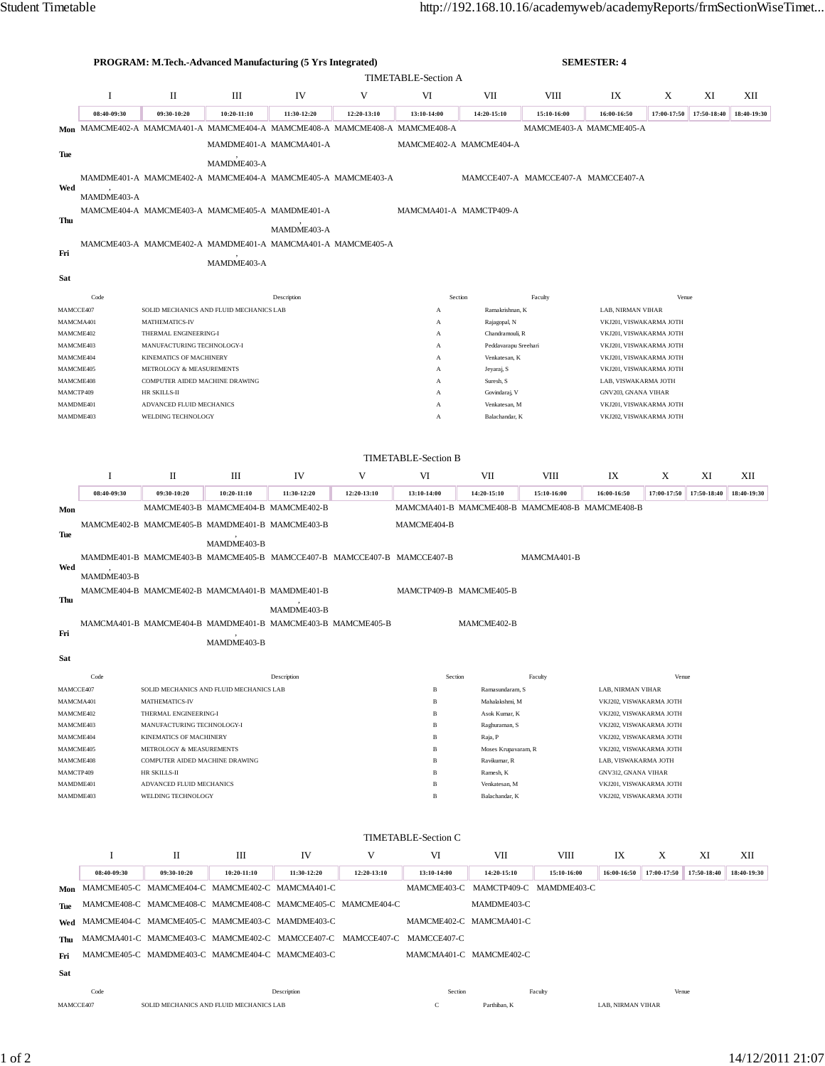|                        |                     |                                                     | PROGRAM: M.Tech.-Advanced Manufacturing (5 Yrs Integrated)                  |             |             |                                                                         |                                 |                                     | <b>SEMESTER: 4</b>                                 |                                             |             |             |  |
|------------------------|---------------------|-----------------------------------------------------|-----------------------------------------------------------------------------|-------------|-------------|-------------------------------------------------------------------------|---------------------------------|-------------------------------------|----------------------------------------------------|---------------------------------------------|-------------|-------------|--|
|                        | TIMETABLE-Section A |                                                     |                                                                             |             |             |                                                                         |                                 |                                     |                                                    |                                             |             |             |  |
|                        | Ι.                  | П<br>Ш<br>IV<br>V<br>VI<br>VII<br>VIII              |                                                                             |             |             | IX                                                                      | X                               | XI                                  | XII                                                |                                             |             |             |  |
|                        | 08:40-09:30         | 09:30-10:20                                         | 10:20-11:10                                                                 | 11:30-12:20 | 12:20-13:10 | 13:10-14:00                                                             | 14:20-15:10                     | 15:10-16:00                         | 16:00-16:50                                        | 17:00-17:50                                 | 17:50-18:40 | 18:40-19:30 |  |
|                        |                     |                                                     | Mon MAMCME402-A MAMCMA401-A MAMCME404-A MAMCME408-A MAMCME408-A MAMCME408-A |             |             |                                                                         |                                 | MAMCME403-A MAMCME405-A             |                                                    |                                             |             |             |  |
|                        |                     |                                                     | MAMDME401-A MAMCMA401-A                                                     |             |             | MAMCME402-A MAMCME404-A                                                 |                                 |                                     |                                                    |                                             |             |             |  |
| Tue                    |                     |                                                     | MAMDME403-A                                                                 |             |             |                                                                         |                                 |                                     |                                                    |                                             |             |             |  |
| Wed                    |                     |                                                     | MAMDME401-A MAMCME402-A MAMCME404-A MAMCME405-A MAMCME403-A                 |             |             |                                                                         |                                 | MAMCCE407-A MAMCCE407-A MAMCCE407-A |                                                    |                                             |             |             |  |
|                        | MAMDME403-A         |                                                     |                                                                             |             |             |                                                                         |                                 |                                     |                                                    |                                             |             |             |  |
| Thu                    |                     |                                                     | MAMCME404-A MAMCME403-A MAMCME405-A MAMDME401-A                             |             |             | MAMCMA401-A MAMCTP409-A                                                 |                                 |                                     |                                                    |                                             |             |             |  |
|                        |                     |                                                     |                                                                             | MAMDME403-A |             |                                                                         |                                 |                                     |                                                    |                                             |             |             |  |
| Fri                    |                     |                                                     | MAMCME403-A MAMCME402-A MAMDME401-A MAMCMA401-A MAMCME405-A                 |             |             |                                                                         |                                 |                                     |                                                    |                                             |             |             |  |
|                        |                     |                                                     | MAMDME403-A                                                                 |             |             |                                                                         |                                 |                                     |                                                    |                                             |             |             |  |
| Sat                    |                     |                                                     |                                                                             |             |             |                                                                         |                                 |                                     |                                                    |                                             |             |             |  |
|                        | Code                |                                                     |                                                                             | Description |             | Section                                                                 |                                 | Faculty                             |                                                    | Venue                                       |             |             |  |
| MAMCCE407              |                     |                                                     | SOLID MECHANICS AND FLUID MECHANICS LAB                                     |             |             | А                                                                       | Ramakrishnan, K                 |                                     | LAB, NIRMAN VIHAR                                  |                                             |             |             |  |
| MAMCMA401<br>MAMCME402 |                     | MATHEMATICS-IV                                      |                                                                             |             |             | А                                                                       | Rajagopal, N<br>Chandramouli, R |                                     | VKJ201, VISWAKARMA JOTH                            |                                             |             |             |  |
| MAMCME403              |                     | THERMAL ENGINEERING-I<br>MANUFACTURING TECHNOLOGY-I |                                                                             |             |             | А<br>А                                                                  | Peddavarapu Sreehari            |                                     | VKJ201, VISWAKARMA JOTH<br>VKJ201, VISWAKARMA JOTH |                                             |             |             |  |
| MAMCME404              |                     | KINEMATICS OF MACHINERY                             |                                                                             |             |             | А                                                                       | Venkatesan, K                   |                                     | VKJ201, VISWAKARMA JOTH                            |                                             |             |             |  |
| MAMCME405              |                     | METROLOGY & MEASUREMENTS                            |                                                                             |             |             | А                                                                       | Jeyaraj, S                      |                                     | VKJ201, VISWAKARMA JOTH                            |                                             |             |             |  |
| MAMCME408<br>MAMCTP409 |                     | COMPUTER AIDED MACHINE DRAWING<br>HR SKILLS-II      |                                                                             |             |             | А<br>A                                                                  | Suresh, S<br>Govindaraj, V      |                                     |                                                    | LAB, VISWAKARMA JOTH<br>GNV203, GNANA VIHAR |             |             |  |
| MAMDME401              |                     | ADVANCED FLUID MECHANICS                            |                                                                             |             |             | А                                                                       | Venkatesan, M                   |                                     | VKJ201, VISWAKARMA JOTH                            |                                             |             |             |  |
| MAMDME403              |                     | WELDING TECHNOLOGY                                  |                                                                             |             |             | A                                                                       | Balachandar, K                  |                                     | VKJ202, VISWAKARMA JOTH                            |                                             |             |             |  |
|                        |                     |                                                     |                                                                             |             |             |                                                                         |                                 |                                     |                                                    |                                             |             |             |  |
|                        |                     |                                                     |                                                                             |             |             | <b>TIMETABLE-Section B</b>                                              |                                 |                                     |                                                    |                                             |             |             |  |
|                        | I                   | П                                                   | Ш                                                                           | IV          | V           | VI                                                                      | VII                             | VШ                                  | IX                                                 | X                                           | XI          | XІІ         |  |
|                        | 08:40-09:30         | 09:30-10:20                                         | 10:20-11:10                                                                 | 11:30-12:20 | 12:20-13:10 | 13:10-14:00                                                             | 14:20-15:10                     | 15:10-16:00                         | 16:00-16:50                                        | 17:00-17:50                                 | 17:50-18:40 | 18:40-19:30 |  |
| Mon                    |                     |                                                     | MAMCME403-B MAMCME404-B MAMCME402-B                                         |             |             | MAMCMA401-B MAMCME408-B MAMCME408-B MAMCME408-B                         |                                 |                                     |                                                    |                                             |             |             |  |
|                        |                     |                                                     | MAMCME402-B MAMCME405-B MAMDME401-B MAMCME403-B                             |             |             | MAMCME404-B                                                             |                                 |                                     |                                                    |                                             |             |             |  |
| Tue                    |                     |                                                     | MAMDME403-B                                                                 |             |             |                                                                         |                                 |                                     |                                                    |                                             |             |             |  |
|                        |                     |                                                     | MAMDME401-B MAMCME403-B MAMCME405-B MAMCCE407-B MAMCCE407-B MAMCCE407-B     |             |             |                                                                         |                                 | MAMCMA401-B                         |                                                    |                                             |             |             |  |
| Wed                    |                     |                                                     |                                                                             |             |             |                                                                         |                                 |                                     |                                                    |                                             |             |             |  |
|                        | MAMDME403-B         |                                                     | MAMCME404-B MAMCME402-B MAMCMA401-B MAMDME401-B                             |             |             | MAMCTP409-B MAMCME405-B                                                 |                                 |                                     |                                                    |                                             |             |             |  |
| Thu                    |                     |                                                     |                                                                             |             |             |                                                                         |                                 |                                     |                                                    |                                             |             |             |  |
|                        |                     |                                                     |                                                                             | MAMDME403-B |             |                                                                         |                                 |                                     |                                                    |                                             |             |             |  |
| Fri                    |                     |                                                     | MAMCMA401-B MAMCME404-B MAMDME401-B MAMCME403-B MAMCME405-B                 |             |             |                                                                         | MAMCME402-B                     |                                     |                                                    |                                             |             |             |  |
|                        |                     |                                                     | MAMDME403-B                                                                 |             |             |                                                                         |                                 |                                     |                                                    |                                             |             |             |  |
| Sat                    |                     |                                                     |                                                                             |             |             |                                                                         |                                 |                                     |                                                    |                                             |             |             |  |
|                        | Code                |                                                     |                                                                             | Description |             | Section                                                                 |                                 | Faculty                             |                                                    | Venue                                       |             |             |  |
| MAMCCE407              |                     |                                                     | SOLID MECHANICS AND FLUID MECHANICS LAB                                     |             |             | $\, {\bf B}$                                                            | Ramasundaram, S                 |                                     | LAB, NIRMAN VIHAR                                  |                                             |             |             |  |
| MAMCMA401              |                     | MATHEMATICS-IV<br>THERMAL ENGINEERING-I             |                                                                             |             |             | Mahalakshmi, M<br>$\, {\bf B}$                                          |                                 |                                     | VKJ202, VISWAKARMA JOTH<br>VKJ202, VISWAKARMA JOTH |                                             |             |             |  |
| MAMCME402<br>MAMCME403 |                     | MANUFACTURING TECHNOLOGY-I                          |                                                                             |             |             | B<br>$_{\rm B}$                                                         | Asok Kumar, K<br>Raghuraman, S  |                                     | VKJ202, VISWAKARMA JOTH                            |                                             |             |             |  |
| MAMCME404              |                     | KINEMATICS OF MACHINERY                             |                                                                             |             |             | B                                                                       | Raja, P                         |                                     | VKJ202, VISWAKARMA JOTH                            |                                             |             |             |  |
| MAMCME405              |                     | METROLOGY & MEASUREMENTS                            |                                                                             |             |             | $\, {\bf B}$<br>Moses Krupavaram, R                                     |                                 | VKJ202, VISWAKARMA JOTH             |                                                    |                                             |             |             |  |
| MAMCME408<br>MAMCTP409 |                     | COMPUTER AIDED MACHINE DRAWING<br>HR SKILLS-II      |                                                                             |             |             | $\, {\bf B}$<br>$\, {\bf B}$                                            | Ravikumar, R<br>Ramesh, K       |                                     | LAB, VISWAKARMA JOTH<br>GNV312, GNANA VIHAR        |                                             |             |             |  |
| MAMDME401              |                     | ADVANCED FLUID MECHANICS                            |                                                                             |             |             | $\, {\bf B}$                                                            | Venkatesan, M                   |                                     | VKJ201, VISWAKARMA JOTH                            |                                             |             |             |  |
| MAMDME403              |                     | WELDING TECHNOLOGY                                  |                                                                             |             |             | $\, {\bf B}$                                                            | Balachandar, K                  |                                     | VKJ202, VISWAKARMA JOTH                            |                                             |             |             |  |
|                        |                     |                                                     |                                                                             |             |             |                                                                         |                                 |                                     |                                                    |                                             |             |             |  |
|                        |                     |                                                     |                                                                             |             |             | <b>TIMETABLE-Section C</b>                                              |                                 |                                     |                                                    |                                             |             |             |  |
|                        | I                   | П                                                   | Ш                                                                           | IV          | V           | VI                                                                      | VII                             | VIII                                | IX                                                 | X                                           | XI          | XII         |  |
|                        | 08:40-09:30         | 09:30-10:20                                         | 10:20-11:10                                                                 | 11:30-12:20 | 12:20-13:10 | 13:10-14:00                                                             | 14:20-15:10                     | 15:10-16:00                         | 16:00-16:50                                        | 17:00-17:50                                 | 17:50-18:40 | 18:40-19:30 |  |
| Mon                    |                     |                                                     | MAMCME405-C MAMCME404-C MAMCME402-C MAMCMA401-C                             |             |             |                                                                         |                                 | MAMCME403-C MAMCTP409-C MAMDME403-C |                                                    |                                             |             |             |  |
| Tue                    |                     |                                                     | MAMCME408-C MAMCME408-C MAMCME408-C MAMCME405-C MAMCME404-C                 |             |             |                                                                         | MAMDME403-C                     |                                     |                                                    |                                             |             |             |  |
| Wed                    |                     |                                                     | MAMCME404-C MAMCME405-C MAMCME403-C MAMDME403-C                             |             |             |                                                                         | MAMCME402-C MAMCMA401-C         |                                     |                                                    |                                             |             |             |  |
| Thu                    |                     |                                                     |                                                                             |             |             | MAMCMA401-C MAMCME403-C MAMCME402-C MAMCCE407-C MAMCCE407-C MAMCCE407-C |                                 |                                     |                                                    |                                             |             |             |  |
|                        |                     |                                                     | MAMCME405-C MAMDME403-C MAMCME404-C MAMCME403-C                             |             |             |                                                                         | MAMCMA401-C MAMCME402-C         |                                     |                                                    |                                             |             |             |  |
| Fri                    |                     |                                                     |                                                                             |             |             |                                                                         |                                 |                                     |                                                    |                                             |             |             |  |
| Sat                    |                     |                                                     |                                                                             |             |             |                                                                         |                                 |                                     |                                                    |                                             |             |             |  |
| MAMCCE407              | Code                |                                                     | SOLID MECHANICS AND FLUID MECHANICS LAB                                     | Description |             | Section<br>$\mathbf C$                                                  | Parthiban, K                    | Faculty                             | LAB, NIRMAN VIHAR                                  | Venue                                       |             |             |  |
|                        |                     |                                                     |                                                                             |             |             |                                                                         |                                 |                                     |                                                    |                                             |             |             |  |